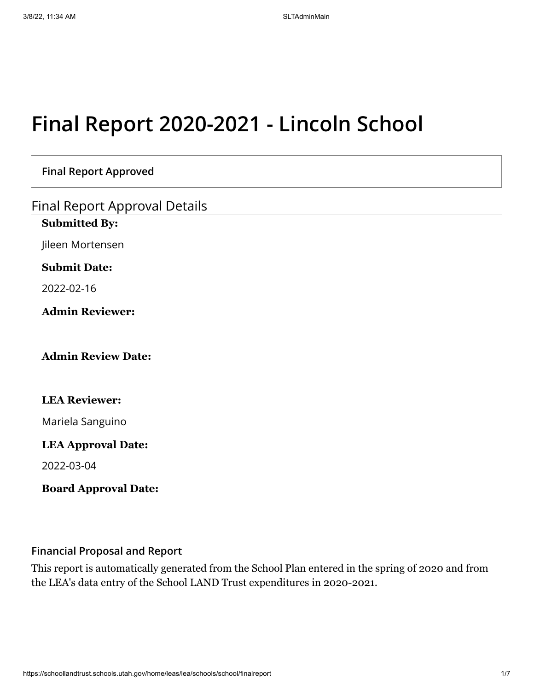# **Final Report 2020-2021 - Lincoln School**

**Final Report Approved**

Final Report Approval Details

**Submitted By:**

Jileen Mortensen

**Submit Date:**

2022-02-16

**Admin Reviewer:**

**Admin Review Date:**

#### **LEA Reviewer:**

Mariela Sanguino

#### **LEA Approval Date:**

2022-03-04

**Board Approval Date:**

# **Financial Proposal and Report**

This report is automatically generated from the School Plan entered in the spring of 2020 and from the LEA's data entry of the School LAND Trust expenditures in 2020-2021.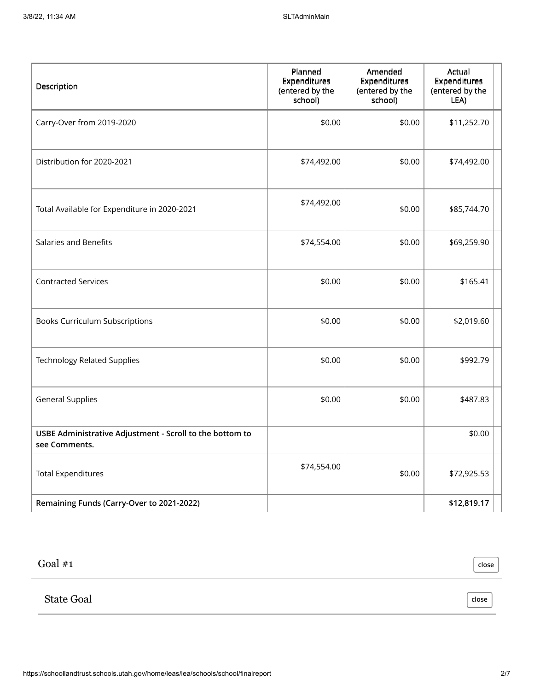| Description                                                               | Planned<br>Expenditures<br>(entered by the<br>school) | Amended<br>Expenditures<br>(entered by the<br>school) | Actual<br>Expenditures<br>(entered by the<br>LEA) |  |
|---------------------------------------------------------------------------|-------------------------------------------------------|-------------------------------------------------------|---------------------------------------------------|--|
| Carry-Over from 2019-2020                                                 | \$0.00                                                | \$0.00                                                | \$11,252.70                                       |  |
| Distribution for 2020-2021                                                | \$74,492.00                                           | \$0.00                                                | \$74,492.00                                       |  |
| Total Available for Expenditure in 2020-2021                              | \$74,492.00                                           | \$0.00                                                | \$85,744.70                                       |  |
| Salaries and Benefits                                                     | \$74,554.00                                           | \$0.00                                                | \$69,259.90                                       |  |
| <b>Contracted Services</b>                                                | \$0.00                                                | \$0.00                                                | \$165.41                                          |  |
| <b>Books Curriculum Subscriptions</b>                                     | \$0.00                                                | \$0.00                                                | \$2,019.60                                        |  |
| <b>Technology Related Supplies</b>                                        | \$0.00                                                | \$0.00                                                | \$992.79                                          |  |
| <b>General Supplies</b>                                                   | \$0.00                                                | \$0.00                                                | \$487.83                                          |  |
| USBE Administrative Adjustment - Scroll to the bottom to<br>see Comments. |                                                       |                                                       | \$0.00                                            |  |
| <b>Total Expenditures</b>                                                 | \$74,554.00                                           | \$0.00                                                | \$72,925.53                                       |  |
| Remaining Funds (Carry-Over to 2021-2022)                                 |                                                       |                                                       | \$12,819.17                                       |  |

Goal #1 State Goal **close close**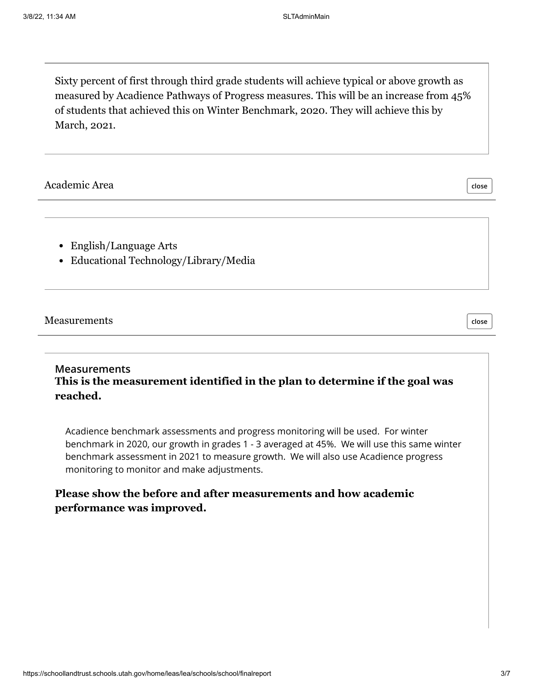Sixty percent of first through third grade students will achieve typical or above growth as measured by Acadience Pathways of Progress measures. This will be an increase from 45% of students that achieved this on Winter Benchmark, 2020. They will achieve this by March, 2021.

#### Academic Area

**close**

**close**

- English/Language Arts
- Educational Technology/Library/Media

#### Measurements

### **Measurements This is the measurement identified in the plan to determine if the goal was reached.**

Acadience benchmark assessments and progress monitoring will be used. For winter benchmark in 2020, our growth in grades 1 - 3 averaged at 45%. We will use this same winter benchmark assessment in 2021 to measure growth. We will also use Acadience progress monitoring to monitor and make adjustments.

# **Please show the before and after measurements and how academic performance was improved.**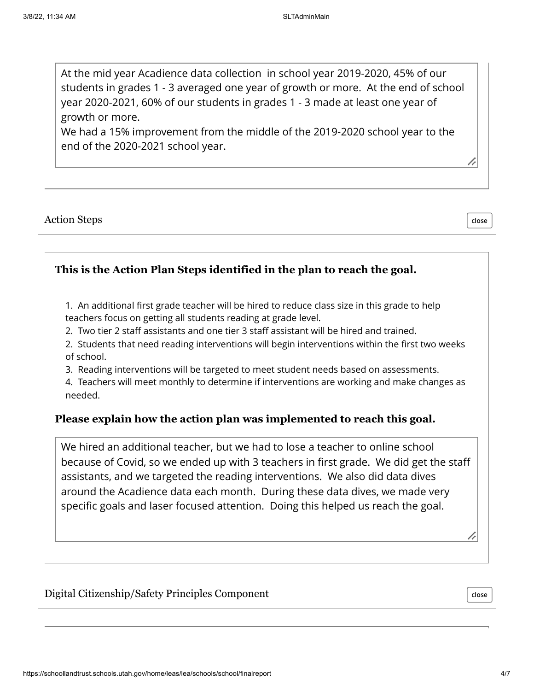At the mid year Acadience data collection in school year 2019-2020, 45% of our students in grades 1 - 3 averaged one year of growth or more. At the end of school year 2020-2021, 60% of our students in grades 1 - 3 made at least one year of growth or more.

We had a 15% improvement from the middle of the 2019-2020 school year to the end of the 2020-2021 school year.

#### Action Steps

**close**

4

# **This is the Action Plan Steps identified in the plan to reach the goal.**

1. An additional first grade teacher will be hired to reduce class size in this grade to help teachers focus on getting all students reading at grade level.

- 2. Two tier 2 staff assistants and one tier 3 staff assistant will be hired and trained.
- 2. Students that need reading interventions will begin interventions within the first two weeks of school.
- 3. Reading interventions will be targeted to meet student needs based on assessments.
- 4. Teachers will meet monthly to determine if interventions are working and make changes as needed.

# **Please explain how the action plan was implemented to reach this goal.**

We hired an additional teacher, but we had to lose a teacher to online school because of Covid, so we ended up with 3 teachers in first grade. We did get the staff assistants, and we targeted the reading interventions. We also did data dives around the Acadience data each month. During these data dives, we made very specific goals and laser focused attention. Doing this helped us reach the goal.

#### Digital Citizenship/Safety Principles Component

**close**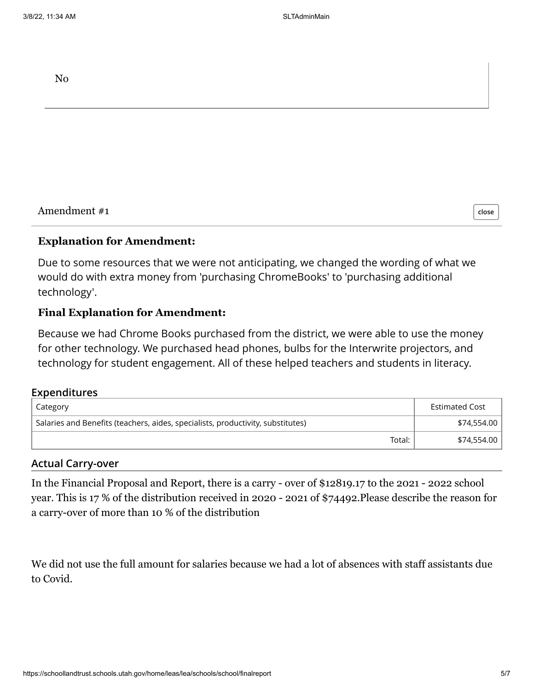No

#### Amendment #1

#### **Explanation for Amendment:**

Due to some resources that we were not anticipating, we changed the wording of what we would do with extra money from 'purchasing ChromeBooks' to 'purchasing additional technology'.

#### **Final Explanation for Amendment:**

Because we had Chrome Books purchased from the district, we were able to use the money for other technology. We purchased head phones, bulbs for the Interwrite projectors, and technology for student engagement. All of these helped teachers and students in literacy.

#### **Expenditures**

| , Category                                                                      | <b>Estimated Cost</b> |
|---------------------------------------------------------------------------------|-----------------------|
| Salaries and Benefits (teachers, aides, specialists, productivity, substitutes) | \$74,554.00           |
| Total:                                                                          | \$74,554.00           |

#### **Actual Carry-over**

In the Financial Proposal and Report, there is a carry - over of \$12819.17 to the 2021 - 2022 school year. This is 17 % of the distribution received in 2020 - 2021 of \$74492.Please describe the reason for a carry-over of more than 10 % of the distribution

We did not use the full amount for salaries because we had a lot of absences with staff assistants due to Covid.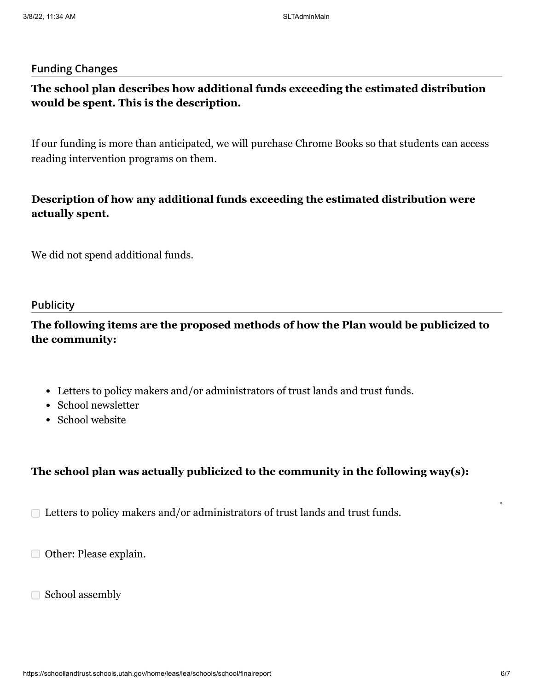#### **Funding Changes**

# **The school plan describes how additional funds exceeding the estimated distribution would be spent. This is the description.**

If our funding is more than anticipated, we will purchase Chrome Books so that students can access reading intervention programs on them.

# **Description of how any additional funds exceeding the estimated distribution were actually spent.**

We did not spend additional funds.

#### **Publicity**

**The following items are the proposed methods of how the Plan would be publicized to the community:**

- Letters to policy makers and/or administrators of trust lands and trust funds.
- School newsletter
- School website

# **The school plan was actually publicized to the community in the following way(s):**

□ Letters to policy makers and/or administrators of trust lands and trust funds.

Other: Please explain.

□ School assembly

'